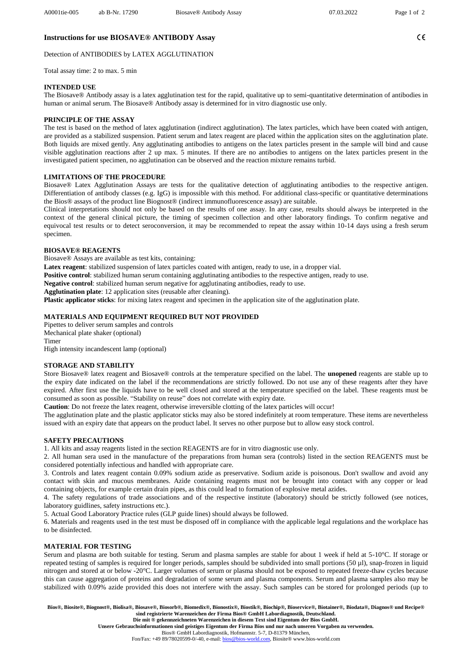$C \in$ 

# **Instructions for use BIOSAVE® ANTIBODY Assay**

Detection of ANTIBODIES by LATEX AGGLUTINATION

Total assay time: 2 to max. 5 min

# **INTENDED USE**

The Biosave® Antibody assay is a latex agglutination test for the rapid, qualitative up to semi-quantitative determination of antibodies in human or animal serum. The Biosave® Antibody assay is determined for in vitro diagnostic use only.

#### **PRINCIPLE OF THE ASSAY**

The test is based on the method of latex agglutination (indirect agglutination). The latex particles, which have been coated with antigen, are provided as a stabilized suspension. Patient serum and latex reagent are placed within the application sites on the agglutination plate. Both liquids are mixed gently. Any agglutinating antibodies to antigens on the latex particles present in the sample will bind and cause visible agglutination reactions after 2 up max. 5 minutes. If there are no antibodies to antigens on the latex particles present in the investigated patient specimen, no agglutination can be observed and the reaction mixture remains turbid.

#### **LIMITATIONS OF THE PROCEDURE**

Biosave® Latex Agglutination Assays are tests for the qualitative detection of agglutinating antibodies to the respective antigen. Differentiation of antibody classes (e.g. IgG) is impossible with this method. For additional class-specific or quantitative determinations the Bios® assays of the product line Biognost® (indirect immunofluorescence assay) are suitable.

Clinical interpretations should not only be based on the results of one assay. In any case, results should always be interpreted in the context of the general clinical picture, the timing of specimen collection and other laboratory findings. To confirm negative and equivocal test results or to detect seroconversion, it may be recommended to repeat the assay within 10-14 days using a fresh serum specimen.

## **BIOSAVE® REAGENTS**

Biosave® Assays are available as test kits, containing:

**Latex reagent**: stabilized suspension of latex particles coated with antigen, ready to use, in a dropper vial.

**Positive control**: stabilized human serum containing agglutinating antibodies to the respective antigen, ready to use.

**Negative control**: stabilized human serum negative for agglutinating antibodies, ready to use.

**Agglutination plate**: 12 application sites (reusable after cleaning).

**Plastic applicator sticks**: for mixing latex reagent and specimen in the application site of the agglutination plate.

#### **MATERIALS AND EQUIPMENT REQUIRED BUT NOT PROVIDED**

Pipettes to deliver serum samples and controls Mechanical plate shaker (optional) Timer

High intensity incandescent lamp (optional)

### **STORAGE AND STABILITY**

Store Biosave® latex reagent and Biosave® controls at the temperature specified on the label. The **unopened** reagents are stable up to the expiry date indicated on the label if the recommendations are strictly followed. Do not use any of these reagents after they have expired. After first use the liquids have to be well closed and stored at the temperature specified on the label. These reagents must be consumed as soon as possible. "Stability on reuse" does not correlate with expiry date.

**Caution**: Do not freeze the latex reagent, otherwise irreversible clotting of the latex particles will occur!

The agglutination plate and the plastic applicator sticks may also be stored indefinitely at room temperature. These items are nevertheless issued with an expiry date that appears on the product label. It serves no other purpose but to allow easy stock control.

### **SAFETY PRECAUTIONS**

1. All kits and assay reagents listed in the section REAGENTS are for in vitro diagnostic use only.

2. All human sera used in the manufacture of the preparations from human sera (controls) listed in the section REAGENTS must be considered potentially infectious and handled with appropriate care.

3. Controls and latex reagent contain 0.09% sodium azide as preservative. Sodium azide is poisonous. Don't swallow and avoid any contact with skin and mucous membranes. Azide containing reagents must not be brought into contact with any copper or lead containing objects, for example certain drain pipes, as this could lead to formation of explosive metal azides.

4. The safety regulations of trade associations and of the respective institute (laboratory) should be strictly followed (see notices, laboratory guidlines, safety instructions etc.).

5. Actual Good Laboratory Practice rules (GLP guide lines) should always be followed.

6. Materials and reagents used in the test must be disposed off in compliance with the applicable legal regulations and the workplace has to be disinfected.

### **MATERIAL FOR TESTING**

Serum and plasma are both suitable for testing. Serum and plasma samples are stable for about 1 week if held at 5-10°C. If storage or repeated testing of samples is required for longer periods, samples should be subdivided into small portions (50 µl), snap-frozen in liquid nitrogen and stored at or below -20°C. Larger volumes of serum or plasma should not be exposed to repeated freeze-thaw cycles because this can cause aggregation of proteins and degradation of some serum and plasma components. Serum and plasma samples also may be stabilized with 0.09% azide provided this does not interfere with the assay. Such samples can be stored for prolonged periods (up to

**Bios®, Biosite®, Biognost®, Biolisa®, Biosave®, Biosorb®, Biomedix®, Bionostix®, Biostik®, Biochip®, Bioservice®, Biotainer®, Biodata®, Diagnos® und Recipe® sind registrierte Warenzeichen der Firma Bios® GmbH Labordiagnostik, Deutschland. Die mit ® gekennzeichneten Warenzeichen in diesem Text sind Eigentum der Bios GmbH.**

**Unsere Gebrauchsinformationen sind geistiges Eigentum der Firma Bios und nur nach unseren Vorgaben zu verwenden.**

Bios® GmbH Labordiagnostik, Hofmannstr. 5-7, D-81379 München,

Fon/Fax: +49 89/78020599-0/-40, e-mail[: bios@bios-world.com,](mailto:bios@bios-world.com) Biosite® www.bios-world.com